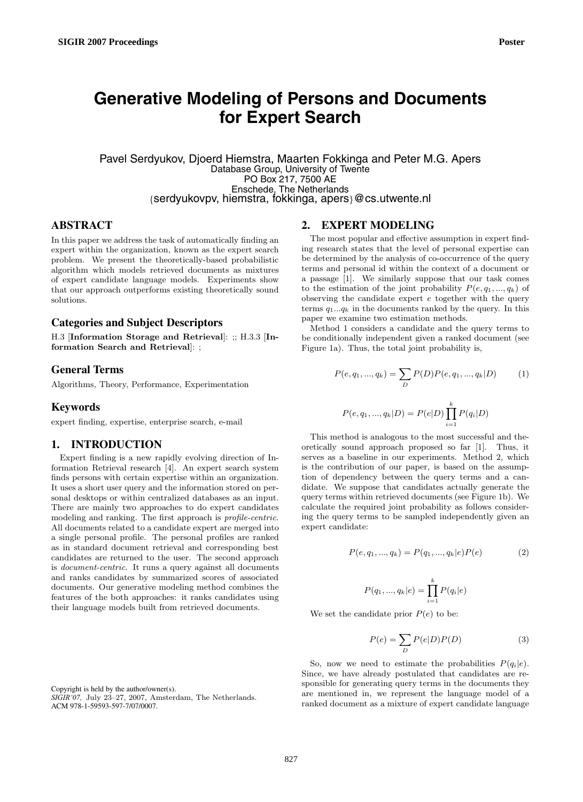# **Generative Modeling of Persons and Documents for Expert Search**

Pavel Serdyukov, Djoerd Hiemstra, Maarten Fokkinga and Peter M.G. Apers Database Group, University of Twente PO Box 217, 7500 AE Enschede, The Netherlands *{*serdyukovpv, hiemstra, fokkinga, apers*}*@cs.utwente.nl

# **ABSTRACT**

In this paper we address the task of automatically finding an expert within the organization, known as the expert search problem. We present the theoretically-based probabilistic algorithm which models retrieved documents as mixtures of expert candidate language models. Experiments show that our approach outperforms existing theoretically sound solutions.

#### **Categories and Subject Descriptors**

H.3 [**Information Storage and Retrieval**]: ;; H.3.3 [**Information Search and Retrieval**]: ;

## **General Terms**

Algorithms, Theory, Performance, Experimentation

### **Keywords**

expert finding, expertise, enterprise search, e-mail

## **1. INTRODUCTION**

Expert finding is a new rapidly evolving direction of Information Retrieval research [4]. An expert search system finds persons with certain expertise within an organization. It uses a short user query and the information stored on personal desktops or within centralized databases as an input. There are mainly two approaches to do expert candidates modeling and ranking. The first approach is *profile-centric*. All documents related to a candidate expert are merged into a single personal profile. The personal profiles are ranked as in standard document retrieval and corresponding best candidates are returned to the user. The second approach is *document-centric*. It runs a query against all documents and ranks candidates by summarized scores of associated documents. Our generative modeling method combines the features of the both approaches: it ranks candidates using their language models built from retrieved documents.

Copyright is held by the author/owner(s).

#### **2. EXPERT MODELING**

The most popular and effective assumption in expert finding research states that the level of personal expertise can be determined by the analysis of co-occurrence of the query terms and personal id within the context of a document or a passage [1]. We similarly suppose that our task comes to the estimation of the joint probability  $P(e, q_1, ..., q_k)$  of observing the candidate expert e together with the query terms  $q_1...q_k$  in the documents ranked by the query. In this paper we examine two estimation methods.

Method 1 considers a candidate and the query terms to be conditionally independent given a ranked document (see Figure 1a). Thus, the total joint probability is,

$$
P(e, q_1, ..., q_k) = \sum_{D} P(D) P(e, q_1, ..., q_k | D)
$$
 (1)

$$
P(e, q_1, ..., q_k | D) = P(e | D) \prod_{i=1}^{k} P(q_i | D)
$$

This method is analogous to the most successful and theoretically sound approach proposed so far [1]. Thus, it serves as a baseline in our experiments. Method 2, which is the contribution of our paper, is based on the assumption of dependency between the query terms and a candidate. We suppose that candidates actually generate the query terms within retrieved documents (see Figure 1b). We calculate the required joint probability as follows considering the query terms to be sampled independently given an expert candidate:

$$
P(e, q_1, ..., q_k) = P(q_1, ..., q_k|e)P(e)
$$
 (2)

$$
P(q_1, ..., q_k|e) = \prod_{i=1}^{k} P(q_i|e)
$$

We set the candidate prior  $P(e)$  to be:

$$
P(e) = \sum_{D} P(e|D)P(D)
$$
 (3)

So, now we need to estimate the probabilities  $P(q_i|e)$ . Since, we have already postulated that candidates are responsible for generating query terms in the documents they are mentioned in, we represent the language model of a ranked document as a mixture of expert candidate language

*SIGIR'07,* July 23–27, 2007, Amsterdam, The Netherlands. ACM 978-1-59593-597-7/07/0007.